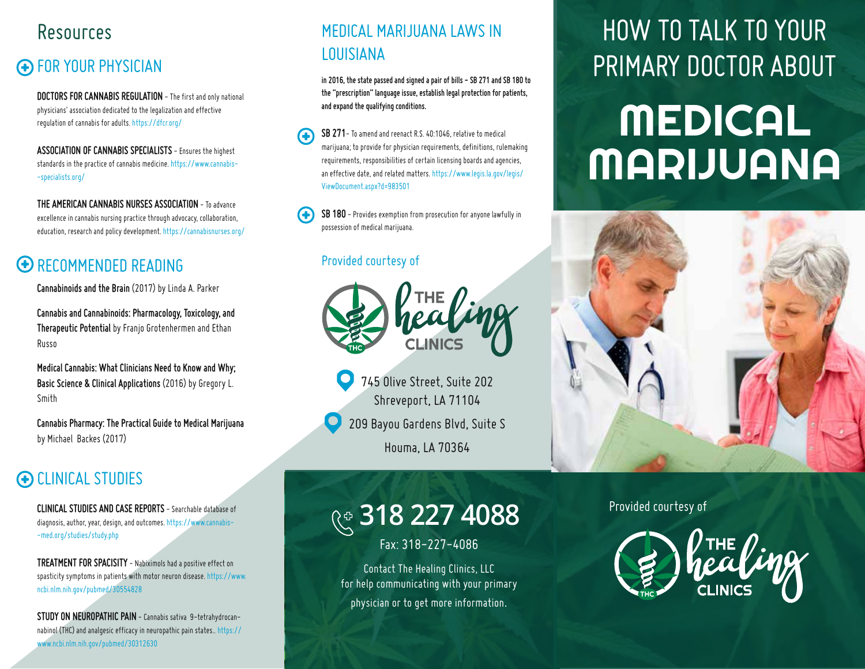## Resources

## FOR YOUR PHYSICIAN

**DOCTORS FOR CANNABIS REGULATION** - The first and only national physicians' association dedicated to the legalization and effective regulation of cannabis for adults. https://dfcr.org/

**ASSOCIATION OF CANNABIS SPECIALISTS** - Ensures the highest standards in the practice of cannabis medicine. https://www.cannabis- -specialists.org/

**THE AMERICAN CANNABIS NURSES ASSOCIATION** - To advance excellence in cannabis nursing practice through advocacy, collaboration, education, research and policy development. https://cannabisnurses.org/

## **ED RECOMMENDED READING**

**Cannabinoids and the Brain** (2017) by Linda A. Parker

**Cannabis and Cannabinoids: Pharmacology, Toxicology, and Therapeutic Potential** by Franjo Grotenhermen and Ethan Russo

**Medical Cannabis: What Clinicians Need to Know and Why; Basic Science & Clinical Applications** (2016) by Gregory L. Smith

**Cannabis Pharmacy: The Practical Guide to Medical Marijuana** by Michael Backes (2017)

## CLINICAL STUDIES

**CLINICAL STUDIES AND CASE REPORTS** - Searchable database of diagnosis, author, year, design, and outcomes. https://www.cannabis- -med.org/studies/study.php

**TREATMENT FOR SPACISITY** - Nabiximols had a positive effect on spasticity symptoms in patients with motor neuron disease. https://www. ncbi.nlm.nih.gov/pubmed/30554828

**STUDY ON NEUROPATHIC PAIN** - Cannabis sativa 9-tetrahydrocannabinol (THC) and analgesic efficacy in neuropathic pain states.. https:// www.ncbi.nlm.nih.gov/pubmed/30312630

### MEDICAL MARIJUANA LAWS IN LOUISIANA

**in 2016, the state passed and signed a pair of bills - SB 271 and SB 180 to the "prescription" language issue, establish legal protection for patients, and expand the qualifying conditions.**

**SB 271**- To amend and reenact R.S. 40:1046, relative to medical marijuana; to provide for physician requirements, definitions, rulemaking requirements, responsibilities of certain licensing boards and agencies, an effective date, and related matters. https://www.legis.la.gov/legis/ ViewDocument.aspx?d=983501

**SB 180** - Provides exemption from prosecution for anyone lawfully in possession of medical marijuana.

#### Provided courtesy of



745 Olive Street, Suite 202 Shreveport, LA 71104

209 Bayou Gardens Blvd, Suite S

Houma, LA 70364

# Provided courtesy of **318 227 4088**

Fax: 318-227-4086

Contact The Healing Clinics, LLC for help communicating with your primary physician or to get more information.

## HOW TO TALK TO YOUR PRIMARY DOCTOR ABOUT

# MEDICAL MARIJUANA